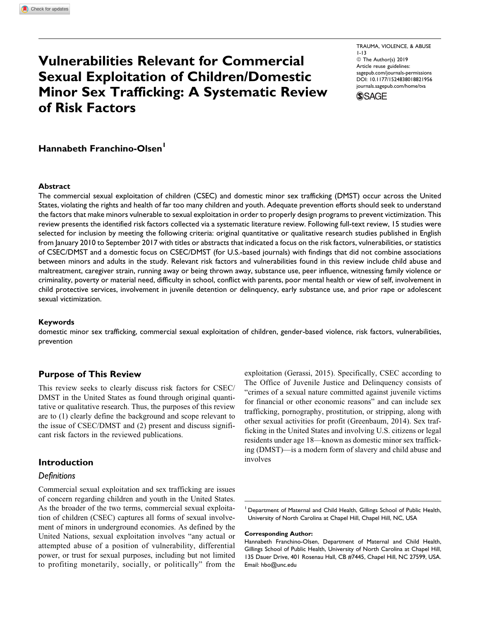# Vulnerabilities Relevant for Commercial Sexual Exploitation of Children/Domestic Minor Sex Trafficking: A Systematic Review of Risk Factors

TRAUMA, VIOLENCE, & ABUSE 1-13 ª The Author(s) 2019 Article reuse guidelines: [sagepub.com/journals-permissions](https://sagepub.com/journals-permissions) [DOI: 10.1177/1524838018821956](https://doi.org/10.1177/1524838018821956) [journals.sagepub.com/home/tva](http://journals.sagepub.com/home/tva)



Hannabeth Franchino-Olsen<sup>1</sup>

#### **Abstract**

The commercial sexual exploitation of children (CSEC) and domestic minor sex trafficking (DMST) occur across the United States, violating the rights and health of far too many children and youth. Adequate prevention efforts should seek to understand the factors that make minors vulnerable to sexual exploitation in order to properly design programs to prevent victimization. This review presents the identified risk factors collected via a systematic literature review. Following full-text review, 15 studies were selected for inclusion by meeting the following criteria: original quantitative or qualitative research studies published in English from January 2010 to September 2017 with titles or abstracts that indicated a focus on the risk factors, vulnerabilities, or statistics of CSEC/DMST and a domestic focus on CSEC/DMST (for U.S.-based journals) with findings that did not combine associations between minors and adults in the study. Relevant risk factors and vulnerabilities found in this review include child abuse and maltreatment, caregiver strain, running away or being thrown away, substance use, peer influence, witnessing family violence or criminality, poverty or material need, difficulty in school, conflict with parents, poor mental health or view of self, involvement in child protective services, involvement in juvenile detention or delinquency, early substance use, and prior rape or adolescent sexual victimization.

#### Keywords

domestic minor sex trafficking, commercial sexual exploitation of children, gender-based violence, risk factors, vulnerabilities, prevention

# Purpose of This Review

This review seeks to clearly discuss risk factors for CSEC/ DMST in the United States as found through original quantitative or qualitative research. Thus, the purposes of this review are to (1) clearly define the background and scope relevant to the issue of CSEC/DMST and (2) present and discuss significant risk factors in the reviewed publications.

# Introduction

## **Definitions**

Commercial sexual exploitation and sex trafficking are issues of concern regarding children and youth in the United States. As the broader of the two terms, commercial sexual exploitation of children (CSEC) captures all forms of sexual involvement of minors in underground economies. As defined by the United Nations, sexual exploitation involves "any actual or attempted abuse of a position of vulnerability, differential power, or trust for sexual purposes, including but not limited to profiting monetarily, socially, or politically" from the

exploitation (Gerassi, 2015). Specifically, CSEC according to The Office of Juvenile Justice and Delinquency consists of "crimes of a sexual nature committed against juvenile victims for financial or other economic reasons" and can include sex trafficking, pornography, prostitution, or stripping, along with other sexual activities for profit (Greenbaum, 2014). Sex trafficking in the United States and involving U.S. citizens or legal residents under age 18—known as domestic minor sex trafficking (DMST)—is a modern form of slavery and child abuse and involves

#### Corresponding Author:

<sup>&</sup>lt;sup>1</sup> Department of Maternal and Child Health, Gillings School of Public Health, University of North Carolina at Chapel Hill, Chapel Hill, NC, USA

Hannabeth Franchino-Olsen, Department of Maternal and Child Health, Gillings School of Public Health, University of North Carolina at Chapel Hill, 135 Dauer Drive, 401 Rosenau Hall, CB #7445, Chapel Hill, NC 27599, USA. Email: [hbo@unc.edu](mailto:hbo@unc.edu)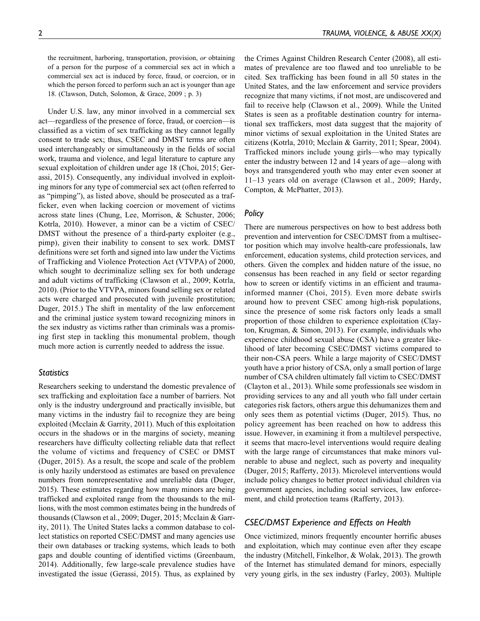the recruitment, harboring, transportation, provision, or obtaining of a person for the purpose of a commercial sex act in which a commercial sex act is induced by force, fraud, or coercion, or in which the person forced to perform such an act is younger than age 18. (Clawson, Dutch, Solomon, & Grace, 2009 ; p. 3)

Under U.S. law, any minor involved in a commercial sex act—regardless of the presence of force, fraud, or coercion—is classified as a victim of sex trafficking as they cannot legally consent to trade sex; thus, CSEC and DMST terms are often used interchangeably or simultaneously in the fields of social work, trauma and violence, and legal literature to capture any sexual exploitation of children under age 18 (Choi, 2015; Gerassi, 2015). Consequently, any individual involved in exploiting minors for any type of commercial sex act (often referred to as "pimping"), as listed above, should be prosecuted as a trafficker, even when lacking coercion or movement of victims across state lines (Chung, Lee, Morrison, & Schuster, 2006; Kotrla, 2010). However, a minor can be a victim of CSEC/ DMST without the presence of a third-party exploiter (e.g., pimp), given their inability to consent to sex work. DMST definitions were set forth and signed into law under the Victims of Trafficking and Violence Protection Act (VTVPA) of 2000, which sought to decriminalize selling sex for both underage and adult victims of trafficking (Clawson et al., 2009; Kotrla, 2010). (Prior to the VTVPA, minors found selling sex or related acts were charged and prosecuted with juvenile prostitution; Duger, 2015.) The shift in mentality of the law enforcement and the criminal justice system toward recognizing minors in the sex industry as victims rather than criminals was a promising first step in tackling this monumental problem, though much more action is currently needed to address the issue.

#### **Statistics**

Researchers seeking to understand the domestic prevalence of sex trafficking and exploitation face a number of barriers. Not only is the industry underground and practically invisible, but many victims in the industry fail to recognize they are being exploited (Mcclain & Garrity, 2011). Much of this exploitation occurs in the shadows or in the margins of society, meaning researchers have difficulty collecting reliable data that reflect the volume of victims and frequency of CSEC or DMST (Duger, 2015). As a result, the scope and scale of the problem is only hazily understood as estimates are based on prevalence numbers from nonrepresentative and unreliable data (Duger, 2015). These estimates regarding how many minors are being trafficked and exploited range from the thousands to the millions, with the most common estimates being in the hundreds of thousands (Clawson et al., 2009; Duger, 2015; Mcclain & Garrity, 2011). The United States lacks a common database to collect statistics on reported CSEC/DMST and many agencies use their own databases or tracking systems, which leads to both gaps and double counting of identified victims (Greenbaum, 2014). Additionally, few large-scale prevalence studies have investigated the issue (Gerassi, 2015). Thus, as explained by

the Crimes Against Children Research Center (2008), all estimates of prevalence are too flawed and too unreliable to be cited. Sex trafficking has been found in all 50 states in the United States, and the law enforcement and service providers recognize that many victims, if not most, are undiscovered and fail to receive help (Clawson et al., 2009). While the United States is seen as a profitable destination country for international sex traffickers, most data suggest that the majority of minor victims of sexual exploitation in the United States are citizens (Kotrla, 2010; Mcclain & Garrity, 2011; Spear, 2004). Trafficked minors include young girls—who may typically enter the industry between 12 and 14 years of age—along with boys and transgendered youth who may enter even sooner at 11–13 years old on average (Clawson et al., 2009; Hardy, Compton, & McPhatter, 2013).

## **Policy**

There are numerous perspectives on how to best address both prevention and intervention for CSEC/DMST from a multisector position which may involve health-care professionals, law enforcement, education systems, child protection services, and others. Given the complex and hidden nature of the issue, no consensus has been reached in any field or sector regarding how to screen or identify victims in an efficient and traumainformed manner (Choi, 2015). Even more debate swirls around how to prevent CSEC among high-risk populations, since the presence of some risk factors only leads a small proportion of those children to experience exploitation (Clayton, Krugman, & Simon, 2013). For example, individuals who experience childhood sexual abuse (CSA) have a greater likelihood of later becoming CSEC/DMST victims compared to their non-CSA peers. While a large majority of CSEC/DMST youth have a prior history of CSA, only a small portion of large number of CSA children ultimately fall victim to CSEC/DMST (Clayton et al., 2013). While some professionals see wisdom in providing services to any and all youth who fall under certain categories risk factors, others argue this dehumanizes them and only sees them as potential victims (Duger, 2015). Thus, no policy agreement has been reached on how to address this issue. However, in examining it from a multilevel perspective, it seems that macro-level interventions would require dealing with the large range of circumstances that make minors vulnerable to abuse and neglect, such as poverty and inequality (Duger, 2015; Rafferty, 2013). Microlevel interventions would include policy changes to better protect individual children via government agencies, including social services, law enforcement, and child protection teams (Rafferty, 2013).

## CSEC/DMST Experience and Effects on Health

Once victimized, minors frequently encounter horrific abuses and exploitation, which may continue even after they escape the industry (Mitchell, Finkelhor, & Wolak, 2013). The growth of the Internet has stimulated demand for minors, especially very young girls, in the sex industry (Farley, 2003). Multiple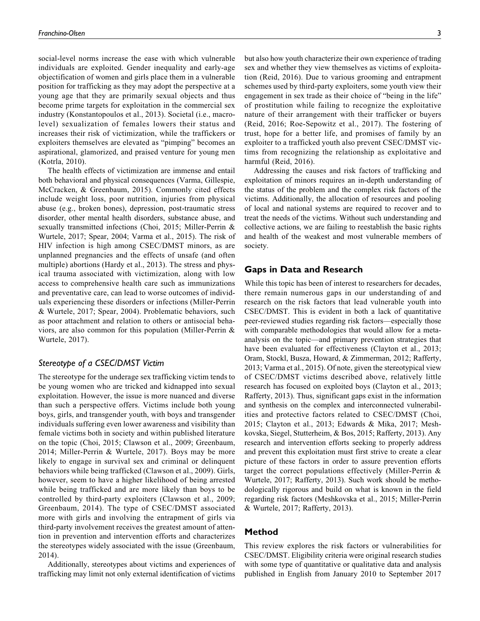social-level norms increase the ease with which vulnerable individuals are exploited. Gender inequality and early-age objectification of women and girls place them in a vulnerable position for trafficking as they may adopt the perspective at a young age that they are primarily sexual objects and thus become prime targets for exploitation in the commercial sex industry (Konstantopoulos et al., 2013). Societal (i.e., macrolevel) sexualization of females lowers their status and increases their risk of victimization, while the traffickers or exploiters themselves are elevated as "pimping" becomes an aspirational, glamorized, and praised venture for young men (Kotrla, 2010).

The health effects of victimization are immense and entail both behavioral and physical consequences (Varma, Gillespie, McCracken, & Greenbaum, 2015). Commonly cited effects include weight loss, poor nutrition, injuries from physical abuse (e.g., broken bones), depression, post-traumatic stress disorder, other mental health disorders, substance abuse, and sexually transmitted infections (Choi, 2015; Miller-Perrin & Wurtele, 2017; Spear, 2004; Varma et al., 2015). The risk of HIV infection is high among CSEC/DMST minors, as are unplanned pregnancies and the effects of unsafe (and often multiple) abortions (Hardy et al., 2013). The stress and physical trauma associated with victimization, along with low access to comprehensive health care such as immunizations and preventative care, can lead to worse outcomes of individuals experiencing these disorders or infections (Miller-Perrin & Wurtele, 2017; Spear, 2004). Problematic behaviors, such as poor attachment and relation to others or antisocial behaviors, are also common for this population (Miller-Perrin & Wurtele, 2017).

## Stereotype of a CSEC/DMST Victim

The stereotype for the underage sex trafficking victim tends to be young women who are tricked and kidnapped into sexual exploitation. However, the issue is more nuanced and diverse than such a perspective offers. Victims include both young boys, girls, and transgender youth, with boys and transgender individuals suffering even lower awareness and visibility than female victims both in society and within published literature on the topic (Choi, 2015; Clawson et al., 2009; Greenbaum, 2014; Miller-Perrin & Wurtele, 2017). Boys may be more likely to engage in survival sex and criminal or delinquent behaviors while being trafficked (Clawson et al., 2009). Girls, however, seem to have a higher likelihood of being arrested while being trafficked and are more likely than boys to be controlled by third-party exploiters (Clawson et al., 2009; Greenbaum, 2014). The type of CSEC/DMST associated more with girls and involving the entrapment of girls via third-party involvement receives the greatest amount of attention in prevention and intervention efforts and characterizes the stereotypes widely associated with the issue (Greenbaum, 2014).

Additionally, stereotypes about victims and experiences of trafficking may limit not only external identification of victims but also how youth characterize their own experience of trading sex and whether they view themselves as victims of exploitation (Reid, 2016). Due to various grooming and entrapment schemes used by third-party exploiters, some youth view their engagement in sex trade as their choice of "being in the life" of prostitution while failing to recognize the exploitative nature of their arrangement with their trafficker or buyers (Reid, 2016; Roe-Sepowitz et al., 2017). The fostering of trust, hope for a better life, and promises of family by an exploiter to a trafficked youth also prevent CSEC/DMST victims from recognizing the relationship as exploitative and harmful (Reid, 2016).

Addressing the causes and risk factors of trafficking and exploitation of minors requires an in-depth understanding of the status of the problem and the complex risk factors of the victims. Additionally, the allocation of resources and pooling of local and national systems are required to recover and to treat the needs of the victims. Without such understanding and collective actions, we are failing to reestablish the basic rights and health of the weakest and most vulnerable members of society.

## Gaps in Data and Research

While this topic has been of interest to researchers for decades, there remain numerous gaps in our understanding of and research on the risk factors that lead vulnerable youth into CSEC/DMST. This is evident in both a lack of quantitative peer-reviewed studies regarding risk factors—especially those with comparable methodologies that would allow for a metaanalysis on the topic—and primary prevention strategies that have been evaluated for effectiveness (Clayton et al., 2013; Oram, Stockl, Busza, Howard, & Zimmerman, 2012; Rafferty, 2013; Varma et al., 2015). Of note, given the stereotypical view of CSEC/DMST victims described above, relatively little research has focused on exploited boys (Clayton et al., 2013; Rafferty, 2013). Thus, significant gaps exist in the information and synthesis on the complex and interconnected vulnerabilities and protective factors related to CSEC/DMST (Choi, 2015; Clayton et al., 2013; Edwards & Mika, 2017; Meshkovska, Siegel, Stutterheim, & Bos, 2015; Rafferty, 2013). Any research and intervention efforts seeking to properly address and prevent this exploitation must first strive to create a clear picture of these factors in order to assure prevention efforts target the correct populations effectively (Miller-Perrin & Wurtele, 2017; Rafferty, 2013). Such work should be methodologically rigorous and build on what is known in the field regarding risk factors (Meshkovska et al., 2015; Miller-Perrin & Wurtele, 2017; Rafferty, 2013).

# Method

This review explores the risk factors or vulnerabilities for CSEC/DMST. Eligibility criteria were original research studies with some type of quantitative or qualitative data and analysis published in English from January 2010 to September 2017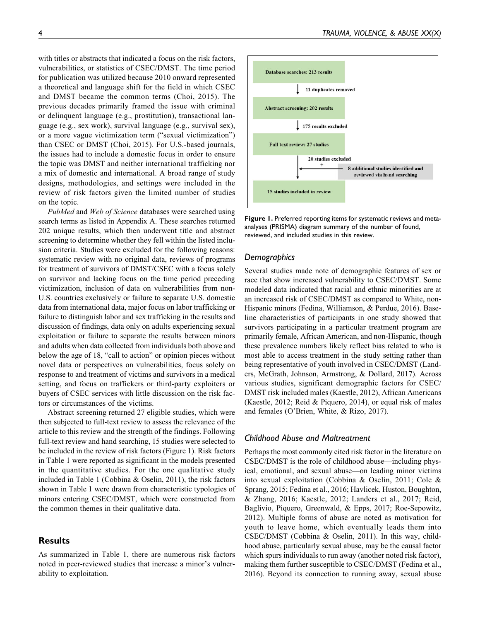with titles or abstracts that indicated a focus on the risk factors, vulnerabilities, or statistics of CSEC/DMST. The time period for publication was utilized because 2010 onward represented a theoretical and language shift for the field in which CSEC and DMST became the common terms (Choi, 2015). The previous decades primarily framed the issue with criminal or delinquent language (e.g., prostitution), transactional language (e.g., sex work), survival language (e.g., survival sex), or a more vague victimization term ("sexual victimization") than CSEC or DMST (Choi, 2015). For U.S.-based journals, the issues had to include a domestic focus in order to ensure the topic was DMST and neither international trafficking nor a mix of domestic and international. A broad range of study designs, methodologies, and settings were included in the review of risk factors given the limited number of studies on the topic.

PubMed and Web of Science databases were searched using search terms as listed in Appendix A. These searches returned 202 unique results, which then underwent title and abstract screening to determine whether they fell within the listed inclusion criteria. Studies were excluded for the following reasons: systematic review with no original data, reviews of programs for treatment of survivors of DMST/CSEC with a focus solely on survivor and lacking focus on the time period preceding victimization, inclusion of data on vulnerabilities from non-U.S. countries exclusively or failure to separate U.S. domestic data from international data, major focus on labor trafficking or failure to distinguish labor and sex trafficking in the results and discussion of findings, data only on adults experiencing sexual exploitation or failure to separate the results between minors and adults when data collected from individuals both above and below the age of 18, "call to action" or opinion pieces without novel data or perspectives on vulnerabilities, focus solely on response to and treatment of victims and survivors in a medical setting, and focus on traffickers or third-party exploiters or buyers of CSEC services with little discussion on the risk factors or circumstances of the victims.

Abstract screening returned 27 eligible studies, which were then subjected to full-text review to assess the relevance of the article to this review and the strength of the findings. Following full-text review and hand searching, 15 studies were selected to be included in the review of risk factors (Figure 1). Risk factors in Table 1 were reported as significant in the models presented in the quantitative studies. For the one qualitative study included in Table 1 (Cobbina & Oselin, 2011), the risk factors shown in Table 1 were drawn from characteristic typologies of minors entering CSEC/DMST, which were constructed from the common themes in their qualitative data.

## Results

As summarized in Table 1, there are numerous risk factors noted in peer-reviewed studies that increase a minor's vulnerability to exploitation.



Figure 1. Preferred reporting items for systematic reviews and metaanalyses (PRISMA) diagram summary of the number of found, reviewed, and included studies in this review.

#### **Demographics**

Several studies made note of demographic features of sex or race that show increased vulnerability to CSEC/DMST. Some modeled data indicated that racial and ethnic minorities are at an increased risk of CSEC/DMST as compared to White, non-Hispanic minors (Fedina, Williamson, & Perdue, 2016). Baseline characteristics of participants in one study showed that survivors participating in a particular treatment program are primarily female, African American, and non-Hispanic, though these prevalence numbers likely reflect bias related to who is most able to access treatment in the study setting rather than being representative of youth involved in CSEC/DMST (Landers, McGrath, Johnson, Armstrong, & Dollard, 2017). Across various studies, significant demographic factors for CSEC/ DMST risk included males (Kaestle, 2012), African Americans (Kaestle, 2012; Reid & Piquero, 2014), or equal risk of males and females (O'Brien, White, & Rizo, 2017).

#### Childhood Abuse and Maltreatment

Perhaps the most commonly cited risk factor in the literature on CSEC/DMST is the role of childhood abuse—including physical, emotional, and sexual abuse—on leading minor victims into sexual exploitation (Cobbina & Oselin, 2011; Cole & Sprang, 2015; Fedina et al., 2016; Havlicek, Huston, Boughton, & Zhang, 2016; Kaestle, 2012; Landers et al., 2017; Reid, Baglivio, Piquero, Greenwald, & Epps, 2017; Roe-Sepowitz, 2012). Multiple forms of abuse are noted as motivation for youth to leave home, which eventually leads them into CSEC/DMST (Cobbina & Oselin, 2011). In this way, childhood abuse, particularly sexual abuse, may be the causal factor which spurs individuals to run away (another noted risk factor), making them further susceptible to CSEC/DMST (Fedina et al., 2016). Beyond its connection to running away, sexual abuse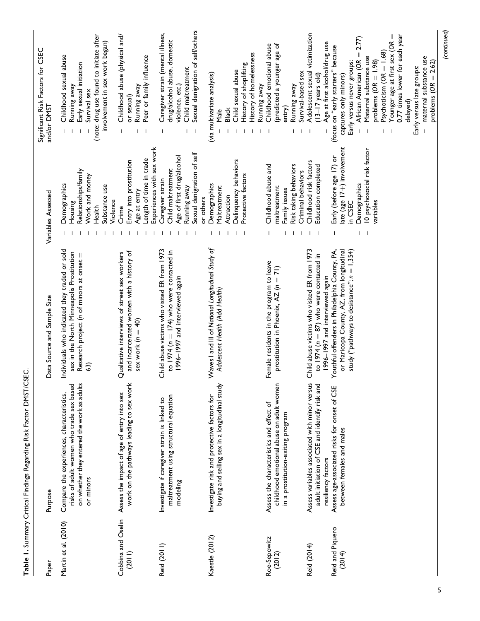| くしくしくしょう             |
|----------------------|
|                      |
|                      |
| こうしょう<br>١<br>ı<br>I |
| :<br>:<br>:          |
| l                    |
|                      |
|                      |
| ĺ                    |

| Paper                | Purpose                                                                                        | Data Source and Sample Size                           | Variables Assessed                          | Significant Risk Factors for CSEC<br>and/or DMST |
|----------------------|------------------------------------------------------------------------------------------------|-------------------------------------------------------|---------------------------------------------|--------------------------------------------------|
|                      |                                                                                                |                                                       |                                             |                                                  |
| Martin et al. (2010) | Compare the experiences, characteristics,                                                      | Individuals who indicated they traded or sold         | Demographics                                | Childhood sexual abuse                           |
|                      | risks of adult women who trade sex based                                                       | sex in the North Minneapolis Prostitution             | Housing                                     | Running away                                     |
|                      | on whether they entered the work as adults                                                     | Research project (n of minors at onset =              | Relationships/family                        | Early sexual initiation                          |
|                      | or minors                                                                                      | 63)                                                   | Work and money                              | Survival sex                                     |
|                      |                                                                                                |                                                       | Health                                      | (note: drug use found to initiate after          |
|                      |                                                                                                |                                                       | Substance use                               | involvement in sex work began)                   |
|                      |                                                                                                |                                                       | Violence                                    |                                                  |
| Cobbina and Oselin   | Assess the impact of age of entry into sex                                                     | Qualitative interviews of street sex workers          | Crime                                       | Childhood abuse (physical and/                   |
| (2011)               | work on the pathways leading to sex work                                                       | and incarcerated women with a history of              | Entry into prostitution                     | or sexual)                                       |
|                      |                                                                                                | sex work $(n = 40)$                                   | Age at entry                                | Running away                                     |
|                      |                                                                                                |                                                       | Length of time in trade                     | Peer or family influence                         |
|                      |                                                                                                |                                                       | Experiences with sex work                   |                                                  |
| Reid (2011)          | Investigate if caregiver strain is linked to                                                   | Child abuse victims who visited ER from 1973          | Caregiver strain                            | Caregiver strain (mental illness,                |
|                      | maltreatment using structural equation                                                         | to 1974 ( $n = 174$ ) who were contacted in           | Child maltreatment                          | drug/alcohol abuse, domestic                     |
|                      | modeling                                                                                       | 1996-1997 and interviewed again                       | Age of first drug/alcohol                   | violence, etc.)                                  |
|                      |                                                                                                |                                                       | Running away                                | Child maltreatment                               |
|                      |                                                                                                |                                                       | Sexual denigration of self                  | Sexual denigration of self/others                |
|                      |                                                                                                |                                                       | or others                                   |                                                  |
| Kaestle (2012)       | Investigate risk and protective factors for                                                    | aves I and III of National Longitudinal Study of<br>3 | Demographics                                | (via multivariate analysis)                      |
|                      | buying and selling sex in a longitudinal study                                                 | Adolescent Health (Add Health)                        | Maltreatment                                | Male                                             |
|                      |                                                                                                |                                                       | Attraction                                  | <b>Black</b>                                     |
|                      |                                                                                                |                                                       | Delinquency behaviors                       | Child sexual abuse                               |
|                      |                                                                                                |                                                       | Protective factors                          | History of shoplifting                           |
|                      |                                                                                                |                                                       |                                             | History of homelessness                          |
|                      |                                                                                                |                                                       |                                             | Running away                                     |
| Roe-Sepowitz         | Assess the characteristics and effect of                                                       | Female residents in the program to leave              | Childhood abuse and                         | Childhood emotional abuse                        |
| (2012)               | childhood emotional abuse on adult women                                                       | prostitution in Phoenix, $AZ(n = 71)$                 | maltreatment                                | (predicted a younger age of                      |
|                      | in a prostitution-exiting program                                                              |                                                       | Family issues                               | entry)                                           |
|                      |                                                                                                |                                                       |                                             | Running away                                     |
|                      |                                                                                                |                                                       | Risk taking behaviors<br>Criminal behaviors | Survival-based sex                               |
| Reid (2014)          |                                                                                                | Child abuse victims who visited ER from 1973          | Childhood risk factors                      |                                                  |
|                      | Assess variables associated with minor versus<br>adult initiation of CSE and identify risk and | to $1974 (n = 87)$ who were contacted in              |                                             | Adolescent sexual victimization                  |
|                      |                                                                                                |                                                       | Education completed                         | $(13-17$ years old)                              |
|                      | resiliency factors                                                                             | 1996-1997 and interviewed again                       |                                             | Age at first alcohol/drug use                    |
| Reid and Piquero     | Assess age-associated risks for onset of CSE                                                   | Youthful offenders in Philadelphia County, PA,        | Early (before age 17) or                    | (focus on "early starters" because               |
| (2014)               | between females and males                                                                      | or Maricopa County, AZ, from longitudinal             | late (age 17+) involvement                  | captures only minors)                            |
|                      |                                                                                                | study ("pathways to desistance"; $n = 1,354$ )        | in CSEC                                     | Early versus never groups:                       |
|                      |                                                                                                |                                                       | Demographics                                | 2.77<br>African American (OR                     |
|                      |                                                                                                |                                                       | 10 psychosocial risk factor                 | Maternal substance use                           |
|                      |                                                                                                |                                                       | variables                                   | problems $(OR = 1.98)$                           |
|                      |                                                                                                |                                                       |                                             | Psychoticism $(OR = 1.68)$                       |
|                      |                                                                                                |                                                       |                                             | Younger age at first sex ( $OR =$                |
|                      |                                                                                                |                                                       |                                             | 0.77 times lower for each year                   |
|                      |                                                                                                |                                                       |                                             | delayed)                                         |
|                      |                                                                                                |                                                       |                                             | Early versus late groups:                        |
|                      |                                                                                                |                                                       |                                             | maternal substance use                           |
|                      |                                                                                                |                                                       |                                             | problems $(OR = 2.62)$                           |

(continued)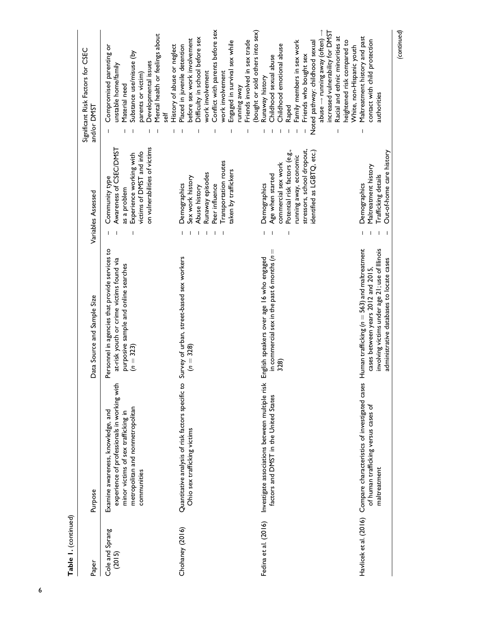| Table 1. (continued)      |                                                                                                                                                                            |                                                                                                                                                                                       |                                                                                                                                                                                |                                                                                                                                                                                                                                                                                                                                                                                                             |
|---------------------------|----------------------------------------------------------------------------------------------------------------------------------------------------------------------------|---------------------------------------------------------------------------------------------------------------------------------------------------------------------------------------|--------------------------------------------------------------------------------------------------------------------------------------------------------------------------------|-------------------------------------------------------------------------------------------------------------------------------------------------------------------------------------------------------------------------------------------------------------------------------------------------------------------------------------------------------------------------------------------------------------|
| Paper                     | Purpose                                                                                                                                                                    | Data Source and Sample Size                                                                                                                                                           | Variables Assessed                                                                                                                                                             | Significant Risk Factors for CSEC<br>and/or DMST                                                                                                                                                                                                                                                                                                                                                            |
| Cole and Sprang<br>(2015) | experience of professionals in working with<br>metropolitan and nonmetropolitan<br>Examine awareness, knowledge, and<br>minor victims of sex trafficking in<br>communities | Personnel in agencies that provide services to<br>at-risk youth or crime victims found via<br>purposive sample and online searches<br>$(n = 323)$                                     | on vulnerabilities of victims<br>Awareness of CSEC/DMST<br>victims of DMST and info<br>Experience working with<br>Community type<br>as a problem                               | Mental health or feelings about<br>History of abuse or neglect<br>Compromised parenting or<br>Substance use/misuse (by<br>Developmental issues<br>unstable home/family<br>parents or victim)<br>Material need<br>Tes                                                                                                                                                                                        |
| Chohaney (2016)           | Quantitative analysis of risk factors specific to<br>Ohio sex trafficking victims                                                                                          | Survey of urban, street-based sex workers<br>$(n = 328)$                                                                                                                              | Transportation routes<br>taken by traffickers<br>Runaway episodes<br>Sex work history<br>Demographics<br>Peer influence<br>Abuse history                                       | Conflict with parents before sex<br>Difficulty in school before sex<br>before sex work involvement<br>Friends involved in sex trade<br>Engaged in survival sex while<br>Placed in juvenile detention<br>work involvement<br>work involvement<br>running away                                                                                                                                                |
| Fedina et al. (2016)      | Investigate associations between multiple risk<br>factors and DMST in the United States                                                                                    | in commercial sex in the past 6 months ( $n =$<br>English speakers over age 16 who engaged<br>328)                                                                                    | stressors, school dropout,<br>Potential risk factors (e.g.,<br>identified as LGBTQ, etc.)<br>running away, economic<br>commercial sex work<br>Age when started<br>Demographics | abuse $\rightarrow$ running away (often) $\rightarrow$<br>(bought or sold others into sex)<br>increased vulnerability for DMST<br>Racial and ethnic minorities at<br>heightened risk compared to<br>Family members in sex work<br>Noted pathway: childhood sexual<br>Childhood emotional abuse<br>White, non-Hispanic youth<br>Friends who bought sex<br>Childhood sexual abuse<br>Runaway history<br>Raped |
| Havlicek et al. (2016)    | Compare characteristics of investigated cases<br>of human trafficking versus cases of<br>maltreatment                                                                      | involving victims under age 21; use of Illinois<br>Human trafficking ( $n = 563$ ) and maltreatment<br>administrative databases to locate cases<br>cases between years 2012 and 2015, | Out-of-home care history<br>Maltreatment history<br>Trafficking details<br>Demographics                                                                                        | Maltreatment history and past<br>contact with child protection<br>authorities                                                                                                                                                                                                                                                                                                                               |
|                           |                                                                                                                                                                            |                                                                                                                                                                                       |                                                                                                                                                                                | (continued)                                                                                                                                                                                                                                                                                                                                                                                                 |

6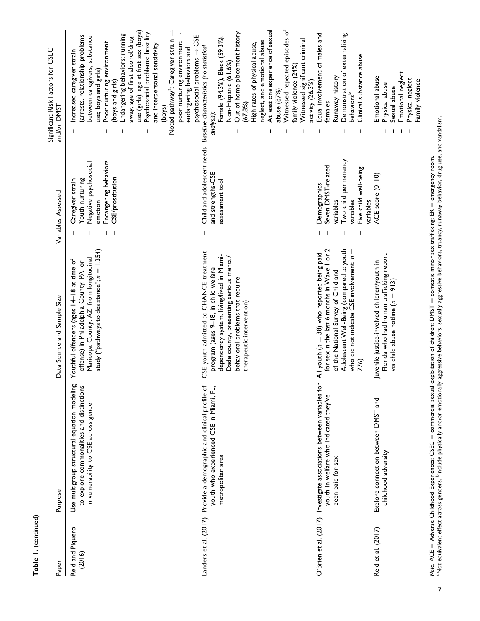| Table 1. (continued)       |                                                                                                                                     |                                                                                                                                                                                                                                         |                                                                                                                            |                                                                                                                                                                                                                                                                                                                                                                                                                                                                                                                                  |
|----------------------------|-------------------------------------------------------------------------------------------------------------------------------------|-----------------------------------------------------------------------------------------------------------------------------------------------------------------------------------------------------------------------------------------|----------------------------------------------------------------------------------------------------------------------------|----------------------------------------------------------------------------------------------------------------------------------------------------------------------------------------------------------------------------------------------------------------------------------------------------------------------------------------------------------------------------------------------------------------------------------------------------------------------------------------------------------------------------------|
| Paper                      | Purpose                                                                                                                             | Data Source and Sample Size                                                                                                                                                                                                             | Variables Assessed                                                                                                         | Significant Risk Factors for CSEC<br>and/or DMST                                                                                                                                                                                                                                                                                                                                                                                                                                                                                 |
| Reid and Piquero<br>(2016) | Use multigroup structural equation modeling<br>to explore commonalities and distinctions<br>in vulnerability to CSE across gender   | study ("pathways to desistance"; $n = 1,354$ )<br>Maricopa County, AZ, from longitudinal<br>Youthful offenders (ages 14-18 at time of<br>offense) in Philadelphia County, PA, or                                                        | Endangering behaviors<br>Negative psychosocial<br>CSE/prostitution<br>Youth nurturing<br>Caregiver strain<br>emotion       | use (girls); age at first sex (boys)<br>Noted pathway <sup>2</sup> : Caregiver strain $\rightarrow$<br>Psychosocial problems: hostility<br>Endangering behaviors: running<br>(arrests, relationship problems<br>USE<br>between caregivers, substance<br>away; age of first alcohol/drug<br>poor nurturing environment<br>Poor nurturing environment<br>and interpersonal sensitivity<br>endangering behaviors and<br>psychosocial problems -<br>Increased caregiver strain<br>use; boys and girls)<br>(boys and girls)<br>(boys) |
|                            | Landers et al. (2017) Provide a demographic and clinical profile of<br>youth who experienced CSE in Miami, FL,<br>metropolitan area | CSE youth admitted to CHANCE treatment<br>dependency system, living/lived in Miami-<br>Dade county, presenting serious mental/<br>program (ages 9-18, in child welfare<br>behavioral problems that require<br>therapeutic intervention) | and strengths-CSE<br>assessment tool                                                                                       | At least one experience of sexual<br>Witnessed repeated episodes of<br>Out-of-home placement history<br>Female (94.3%), Black (59.3%),<br>Witnessed significant criminal<br>neglect, and emotional abuse<br>High rates of physical abuse,<br>Child and adolescent needs Baseline characteristics (no statistical<br>Non-Hispanic (61.6%)<br>family violence (24%)<br>activity (26.3%)<br>abuse (87%)<br>(67.8%)<br>analysis):                                                                                                    |
|                            | O'Brien et al. (2017) Investigate associations between variables for<br>youth in welfare who indicated they've<br>been paid for sex | Adolescent Well-Being (compared to youth<br>for sex in the last 6 months in Wave 1 or 2<br>who did not indicate CSE involvement; $n =$<br>All youth ( $n = 38$ ) who reported being paid<br>of the National Survey of Child and<br>776) | Two child permanency<br>Seven DMST-related<br>Five child well-being<br>Demographics<br>variables<br>variables<br>variables | Equal involvement of males and<br>Demonstration of externalizing<br>Clinical substance abuse<br>Runaway history<br>behaviors <sup>b</sup><br>females                                                                                                                                                                                                                                                                                                                                                                             |
| Reid et al. (2017)         | Explore connection between DMST and<br>childhood adversity                                                                          | Florida who had human trafficking report<br>Juvenile justice-involved children/youth in<br>via child abuse hotline ( $n = 913$ )                                                                                                        | ACE score (0-10)                                                                                                           | Emotional neglect<br>Emotional abuse<br>Physical neglect<br>Family violence<br>Physical abuse<br>Sexual abuse                                                                                                                                                                                                                                                                                                                                                                                                                    |
|                            |                                                                                                                                     |                                                                                                                                                                                                                                         |                                                                                                                            |                                                                                                                                                                                                                                                                                                                                                                                                                                                                                                                                  |

Note. ACE = Adverse Childhood Experiences; CSEC = commercial sexual exploitation of children; DMST = domestic minor sex trafficking; ER = emergency room.<br>ªNot equivalent effect across genders. <sup>b</sup>include physically and/or aNot equivalent effect across genders. bInclude physically and/or emotionally aggressive behaviors, sexually aggressive behaviors, truancy, runaway behavior, drug use, and vandalism. Note. ACE = Adverse Childhood Experiences; CSEC = commercial sexual exploitation of children; DMST = domestic minor sex trafficking; ER = emergency room.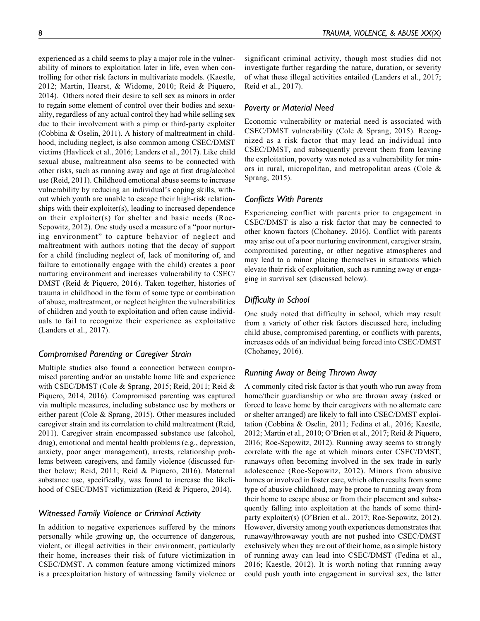experienced as a child seems to play a major role in the vulnerability of minors to exploitation later in life, even when controlling for other risk factors in multivariate models. (Kaestle, 2012; Martin, Hearst, & Widome, 2010; Reid & Piquero, 2014). Others noted their desire to sell sex as minors in order to regain some element of control over their bodies and sexuality, regardless of any actual control they had while selling sex due to their involvement with a pimp or third-party exploiter (Cobbina & Oselin, 2011). A history of maltreatment in childhood, including neglect, is also common among CSEC/DMST victims (Havlicek et al., 2016; Landers et al., 2017). Like child sexual abuse, maltreatment also seems to be connected with other risks, such as running away and age at first drug/alcohol use (Reid, 2011). Childhood emotional abuse seems to increase vulnerability by reducing an individual's coping skills, without which youth are unable to escape their high-risk relationships with their exploiter(s), leading to increased dependence on their exploiter(s) for shelter and basic needs (Roe-Sepowitz, 2012). One study used a measure of a "poor nurturing environment" to capture behavior of neglect and maltreatment with authors noting that the decay of support for a child (including neglect of, lack of monitoring of, and failure to emotionally engage with the child) creates a poor nurturing environment and increases vulnerability to CSEC/ DMST (Reid & Piquero, 2016). Taken together, histories of trauma in childhood in the form of some type or combination of abuse, maltreatment, or neglect heighten the vulnerabilities of children and youth to exploitation and often cause individuals to fail to recognize their experience as exploitative (Landers et al., 2017).

# Compromised Parenting or Caregiver Strain

Multiple studies also found a connection between compromised parenting and/or an unstable home life and experience with CSEC/DMST (Cole & Sprang, 2015; Reid, 2011; Reid & Piquero, 2014, 2016). Compromised parenting was captured via multiple measures, including substance use by mothers or either parent (Cole & Sprang, 2015). Other measures included caregiver strain and its correlation to child maltreatment (Reid, 2011). Caregiver strain encompassed substance use (alcohol, drug), emotional and mental health problems (e.g., depression, anxiety, poor anger management), arrests, relationship problems between caregivers, and family violence (discussed further below; Reid, 2011; Reid & Piquero, 2016). Maternal substance use, specifically, was found to increase the likelihood of CSEC/DMST victimization (Reid & Piquero, 2014).

## Witnessed Family Violence or Criminal Activity

In addition to negative experiences suffered by the minors personally while growing up, the occurrence of dangerous, violent, or illegal activities in their environment, particularly their home, increases their risk of future victimization in CSEC/DMST. A common feature among victimized minors is a preexploitation history of witnessing family violence or significant criminal activity, though most studies did not investigate further regarding the nature, duration, or severity of what these illegal activities entailed (Landers et al., 2017; Reid et al., 2017).

## Poverty or Material Need

Economic vulnerability or material need is associated with CSEC/DMST vulnerability (Cole & Sprang, 2015). Recognized as a risk factor that may lead an individual into CSEC/DMST, and subsequently prevent them from leaving the exploitation, poverty was noted as a vulnerability for minors in rural, micropolitan, and metropolitan areas (Cole & Sprang, 2015).

#### Conflicts With Parents

Experiencing conflict with parents prior to engagement in CSEC/DMST is also a risk factor that may be connected to other known factors (Chohaney, 2016). Conflict with parents may arise out of a poor nurturing environment, caregiver strain, compromised parenting, or other negative atmospheres and may lead to a minor placing themselves in situations which elevate their risk of exploitation, such as running away or engaging in survival sex (discussed below).

#### Difficulty in School

One study noted that difficulty in school, which may result from a variety of other risk factors discussed here, including child abuse, compromised parenting, or conflicts with parents, increases odds of an individual being forced into CSEC/DMST (Chohaney, 2016).

#### Running Away or Being Thrown Away

A commonly cited risk factor is that youth who run away from home/their guardianship or who are thrown away (asked or forced to leave home by their caregivers with no alternate care or shelter arranged) are likely to fall into CSEC/DMST exploitation (Cobbina & Oselin, 2011; Fedina et al., 2016; Kaestle, 2012; Martin et al., 2010; O'Brien et al., 2017; Reid & Piquero, 2016; Roe-Sepowitz, 2012). Running away seems to strongly correlate with the age at which minors enter CSEC/DMST; runaways often becoming involved in the sex trade in early adolescence (Roe-Sepowitz, 2012). Minors from abusive homes or involved in foster care, which often results from some type of abusive childhood, may be prone to running away from their home to escape abuse or from their placement and subsequently falling into exploitation at the hands of some thirdparty exploiter(s) (O'Brien et al., 2017; Roe-Sepowitz, 2012). However, diversity among youth experiences demonstrates that runaway/throwaway youth are not pushed into CSEC/DMST exclusively when they are out of their home, as a simple history of running away can lead into CSEC/DMST (Fedina et al., 2016; Kaestle, 2012). It is worth noting that running away could push youth into engagement in survival sex, the latter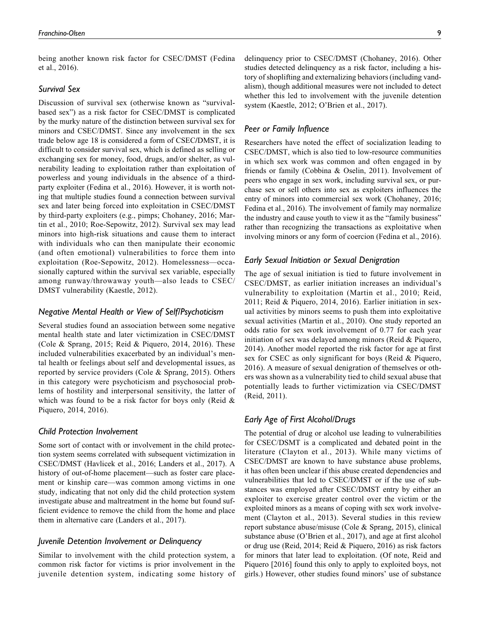being another known risk factor for CSEC/DMST (Fedina et al., 2016).

#### Survival Sex

Discussion of survival sex (otherwise known as "survivalbased sex") as a risk factor for CSEC/DMST is complicated by the murky nature of the distinction between survival sex for minors and CSEC/DMST. Since any involvement in the sex trade below age 18 is considered a form of CSEC/DMST, it is difficult to consider survival sex, which is defined as selling or exchanging sex for money, food, drugs, and/or shelter, as vulnerability leading to exploitation rather than exploitation of powerless and young individuals in the absence of a thirdparty exploiter (Fedina et al., 2016). However, it is worth noting that multiple studies found a connection between survival sex and later being forced into exploitation in CSEC/DMST by third-party exploiters (e.g., pimps; Chohaney, 2016; Martin et al., 2010; Roe-Sepowitz, 2012). Survival sex may lead minors into high-risk situations and cause them to interact with individuals who can then manipulate their economic (and often emotional) vulnerabilities to force them into exploitation (Roe-Sepowitz, 2012). Homelessness—occasionally captured within the survival sex variable, especially among runway/throwaway youth—also leads to CSEC/ DMST vulnerability (Kaestle, 2012).

## Negative Mental Health or View of Self/Psychoticism

Several studies found an association between some negative mental health state and later victimization in CSEC/DMST (Cole & Sprang, 2015; Reid & Piquero, 2014, 2016). These included vulnerabilities exacerbated by an individual's mental health or feelings about self and developmental issues, as reported by service providers (Cole & Sprang, 2015). Others in this category were psychoticism and psychosocial problems of hostility and interpersonal sensitivity, the latter of which was found to be a risk factor for boys only (Reid  $\&$ Piquero, 2014, 2016).

#### Child Protection Involvement

Some sort of contact with or involvement in the child protection system seems correlated with subsequent victimization in CSEC/DMST (Havlicek et al., 2016; Landers et al., 2017). A history of out-of-home placement—such as foster care placement or kinship care—was common among victims in one study, indicating that not only did the child protection system investigate abuse and maltreatment in the home but found sufficient evidence to remove the child from the home and place them in alternative care (Landers et al., 2017).

## Juvenile Detention Involvement or Delinquency

Similar to involvement with the child protection system, a common risk factor for victims is prior involvement in the juvenile detention system, indicating some history of delinquency prior to CSEC/DMST (Chohaney, 2016). Other studies detected delinquency as a risk factor, including a history of shoplifting and externalizing behaviors (including vandalism), though additional measures were not included to detect whether this led to involvement with the juvenile detention system (Kaestle, 2012; O'Brien et al., 2017).

## Peer or Family Influence

Researchers have noted the effect of socialization leading to CSEC/DMST, which is also tied to low-resource communities in which sex work was common and often engaged in by friends or family (Cobbina & Oselin, 2011). Involvement of peers who engage in sex work, including survival sex, or purchase sex or sell others into sex as exploiters influences the entry of minors into commercial sex work (Chohaney, 2016; Fedina et al., 2016). The involvement of family may normalize the industry and cause youth to view it as the "family business" rather than recognizing the transactions as exploitative when involving minors or any form of coercion (Fedina et al., 2016).

#### Early Sexual Initiation or Sexual Denigration

The age of sexual initiation is tied to future involvement in CSEC/DMST, as earlier initiation increases an individual's vulnerability to exploitation (Martin et al., 2010; Reid, 2011; Reid & Piquero, 2014, 2016). Earlier initiation in sexual activities by minors seems to push them into exploitative sexual activities (Martin et al., 2010). One study reported an odds ratio for sex work involvement of 0.77 for each year initiation of sex was delayed among minors (Reid & Piquero, 2014). Another model reported the risk factor for age at first sex for CSEC as only significant for boys (Reid & Piquero, 2016). A measure of sexual denigration of themselves or others was shown as a vulnerability tied to child sexual abuse that potentially leads to further victimization via CSEC/DMST (Reid, 2011).

# Early Age of First Alcohol/Drugs

The potential of drug or alcohol use leading to vulnerabilities for CSEC/DSMT is a complicated and debated point in the literature (Clayton et al., 2013). While many victims of CSEC/DMST are known to have substance abuse problems, it has often been unclear if this abuse created dependencies and vulnerabilities that led to CSEC/DMST or if the use of substances was employed after CSEC/DMST entry by either an exploiter to exercise greater control over the victim or the exploited minors as a means of coping with sex work involvement (Clayton et al., 2013). Several studies in this review report substance abuse/misuse (Cole & Sprang, 2015), clinical substance abuse (O'Brien et al., 2017), and age at first alcohol or drug use (Reid, 2014; Reid & Piquero, 2016) as risk factors for minors that later lead to exploitation. (Of note, Reid and Piquero [2016] found this only to apply to exploited boys, not girls.) However, other studies found minors' use of substance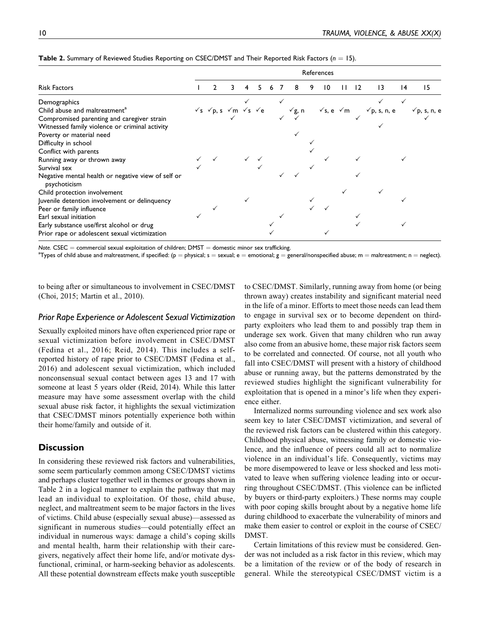|                                                                    |  | References |  |  |  |   |  |   |   |                 |  |    |                                                                                                                                                                      |   |    |
|--------------------------------------------------------------------|--|------------|--|--|--|---|--|---|---|-----------------|--|----|----------------------------------------------------------------------------------------------------------------------------------------------------------------------|---|----|
| <b>Risk Factors</b>                                                |  | 2          |  |  |  | 6 |  | 8 | 9 | $\overline{10}$ |  | 12 | 13                                                                                                                                                                   | 4 | 15 |
| Demographics                                                       |  |            |  |  |  |   |  |   |   |                 |  |    |                                                                                                                                                                      |   |    |
| Child abuse and maltreatment <sup>a</sup>                          |  |            |  |  |  |   |  |   |   |                 |  |    | $\sqrt{s}$ $\sqrt{p}$ , $s \sqrt{m}$ $\sqrt{s}$ $\sqrt{e}$ $\sqrt{g}$ , $n \sqrt{s}$ , $e \sqrt{m}$ $\sqrt{p}$ , $s$ , $n$ , $e \sqrt{p}$ , $s$ , $n$ , $e \sqrt{g}$ |   |    |
| Compromised parenting and caregiver strain                         |  |            |  |  |  |   |  |   |   |                 |  |    |                                                                                                                                                                      |   |    |
| Witnessed family violence or criminal activity                     |  |            |  |  |  |   |  |   |   |                 |  |    |                                                                                                                                                                      |   |    |
| Poverty or material need                                           |  |            |  |  |  |   |  |   |   |                 |  |    |                                                                                                                                                                      |   |    |
| Difficulty in school                                               |  |            |  |  |  |   |  |   |   |                 |  |    |                                                                                                                                                                      |   |    |
| Conflict with parents                                              |  |            |  |  |  |   |  |   |   |                 |  |    |                                                                                                                                                                      |   |    |
| Running away or thrown away                                        |  |            |  |  |  |   |  |   |   |                 |  |    |                                                                                                                                                                      |   |    |
| Survival sex                                                       |  |            |  |  |  |   |  |   |   |                 |  |    |                                                                                                                                                                      |   |    |
| Negative mental health or negative view of self or<br>psychoticism |  |            |  |  |  |   |  |   |   |                 |  |    |                                                                                                                                                                      |   |    |
| Child protection involvement                                       |  |            |  |  |  |   |  |   |   |                 |  |    |                                                                                                                                                                      |   |    |
| Juvenile detention involvement or delinguency                      |  |            |  |  |  |   |  |   |   |                 |  |    |                                                                                                                                                                      |   |    |
| Peer or family influence                                           |  |            |  |  |  |   |  |   |   |                 |  |    |                                                                                                                                                                      |   |    |
| Earl sexual initiation                                             |  |            |  |  |  |   |  |   |   |                 |  |    |                                                                                                                                                                      |   |    |
| Early substance use/first alcohol or drug                          |  |            |  |  |  |   |  |   |   |                 |  |    |                                                                                                                                                                      |   |    |
| Prior rape or adolescent sexual victimization                      |  |            |  |  |  |   |  |   |   |                 |  |    |                                                                                                                                                                      |   |    |

Note. CSEC = commercial sexual exploitation of children; DMST = domestic minor sex trafficking.

 $n$ Types of child abuse and maltreatment, if specified: (p = physical; s = sexual; e = emotional; g = general/nonspecified abuse; m = maltreatment; n = neglect).

to being after or simultaneous to involvement in CSEC/DMST (Choi, 2015; Martin et al., 2010).

## Prior Rape Experience or Adolescent Sexual Victimization

Sexually exploited minors have often experienced prior rape or sexual victimization before involvement in CSEC/DMST (Fedina et al., 2016; Reid, 2014). This includes a selfreported history of rape prior to CSEC/DMST (Fedina et al., 2016) and adolescent sexual victimization, which included nonconsensual sexual contact between ages 13 and 17 with someone at least 5 years older (Reid, 2014). While this latter measure may have some assessment overlap with the child sexual abuse risk factor, it highlights the sexual victimization that CSEC/DMST minors potentially experience both within their home/family and outside of it.

## **Discussion**

In considering these reviewed risk factors and vulnerabilities, some seem particularly common among CSEC/DMST victims and perhaps cluster together well in themes or groups shown in Table 2 in a logical manner to explain the pathway that may lead an individual to exploitation. Of those, child abuse, neglect, and maltreatment seem to be major factors in the lives of victims. Child abuse (especially sexual abuse)—assessed as significant in numerous studies—could potentially effect an individual in numerous ways: damage a child's coping skills and mental health, harm their relationship with their caregivers, negatively affect their home life, and/or motivate dysfunctional, criminal, or harm-seeking behavior as adolescents. All these potential downstream effects make youth susceptible to CSEC/DMST. Similarly, running away from home (or being thrown away) creates instability and significant material need in the life of a minor. Efforts to meet those needs can lead them to engage in survival sex or to become dependent on thirdparty exploiters who lead them to and possibly trap them in underage sex work. Given that many children who run away also come from an abusive home, these major risk factors seem to be correlated and connected. Of course, not all youth who fall into CSEC/DMST will present with a history of childhood abuse or running away, but the patterns demonstrated by the reviewed studies highlight the significant vulnerability for exploitation that is opened in a minor's life when they experience either.

Internalized norms surrounding violence and sex work also seem key to later CSEC/DMST victimization, and several of the reviewed risk factors can be clustered within this category. Childhood physical abuse, witnessing family or domestic violence, and the influence of peers could all act to normalize violence in an individual's life. Consequently, victims may be more disempowered to leave or less shocked and less motivated to leave when suffering violence leading into or occurring throughout CSEC/DMST. (This violence can be inflicted by buyers or third-party exploiters.) These norms may couple with poor coping skills brought about by a negative home life during childhood to exacerbate the vulnerability of minors and make them easier to control or exploit in the course of CSEC/ DMST.

Certain limitations of this review must be considered. Gender was not included as a risk factor in this review, which may be a limitation of the review or of the body of research in general. While the stereotypical CSEC/DMST victim is a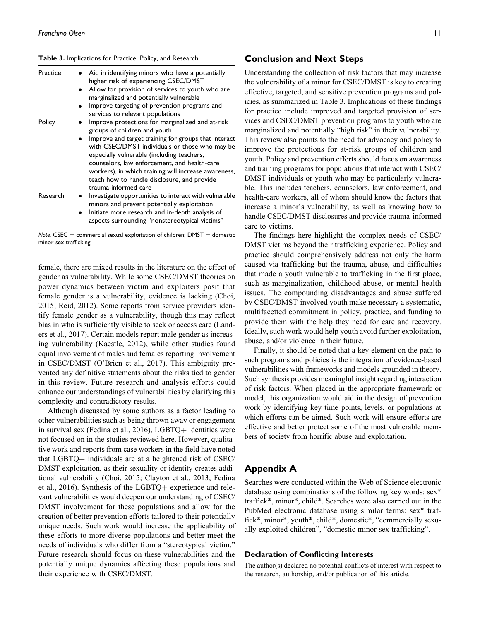Table 3. Implications for Practice, Policy, and Research.

| Practice | Aid in identifying minors who have a potentially<br>higher risk of experiencing CSEC/DMST<br>Allow for provision of services to youth who are<br>marginalized and potentially vulnerable<br>Improve targeting of prevention programs and<br>services to relevant populations                                                                                                                                            |
|----------|-------------------------------------------------------------------------------------------------------------------------------------------------------------------------------------------------------------------------------------------------------------------------------------------------------------------------------------------------------------------------------------------------------------------------|
| Policy   | Improve protections for marginalized and at-risk<br>groups of children and youth<br>Improve and target training for groups that interact<br>with CSEC/DMST individuals or those who may be<br>especially vulnerable (including teachers,<br>counselors, law enforcement, and health-care<br>workers), in which training will increase awareness,<br>teach how to handle disclosure, and provide<br>trauma-informed care |
| Research | Investigate opportunities to interact with vulnerable<br>minors and prevent potentially exploitation<br>Initiate more research and in-depth analysis of<br>aspects surrounding "nonstereotypical victims"                                                                                                                                                                                                               |

Note.  $CSEC = commercial sexual exploitation of children; DMST = domestic$ minor sex trafficking.

female, there are mixed results in the literature on the effect of gender as vulnerability. While some CSEC/DMST theories on power dynamics between victim and exploiters posit that female gender is a vulnerability, evidence is lacking (Choi, 2015; Reid, 2012). Some reports from service providers identify female gender as a vulnerability, though this may reflect bias in who is sufficiently visible to seek or access care (Landers et al., 2017). Certain models report male gender as increasing vulnerability (Kaestle, 2012), while other studies found equal involvement of males and females reporting involvement in CSEC/DMST (O'Brien et al., 2017). This ambiguity prevented any definitive statements about the risks tied to gender in this review. Future research and analysis efforts could enhance our understandings of vulnerabilities by clarifying this complexity and contradictory results.

Although discussed by some authors as a factor leading to other vulnerabilities such as being thrown away or engagement in survival sex (Fedina et al., 2016), LGBTQ $+$  identities were not focused on in the studies reviewed here. However, qualitative work and reports from case workers in the field have noted that  $LGBTQ$  individuals are at a heightened risk of  $CSEC/$ DMST exploitation, as their sexuality or identity creates additional vulnerability (Choi, 2015; Clayton et al., 2013; Fedina et al., 2016). Synthesis of the LGBTQ $+$  experience and relevant vulnerabilities would deepen our understanding of CSEC/ DMST involvement for these populations and allow for the creation of better prevention efforts tailored to their potentially unique needs. Such work would increase the applicability of these efforts to more diverse populations and better meet the needs of individuals who differ from a "stereotypical victim." Future research should focus on these vulnerabilities and the potentially unique dynamics affecting these populations and their experience with CSEC/DMST.

## Conclusion and Next Steps

Understanding the collection of risk factors that may increase the vulnerability of a minor for CSEC/DMST is key to creating effective, targeted, and sensitive prevention programs and policies, as summarized in Table 3. Implications of these findings for practice include improved and targeted provision of services and CSEC/DMST prevention programs to youth who are marginalized and potentially "high risk" in their vulnerability. This review also points to the need for advocacy and policy to improve the protections for at-risk groups of children and youth. Policy and prevention efforts should focus on awareness and training programs for populations that interact with CSEC/ DMST individuals or youth who may be particularly vulnerable. This includes teachers, counselors, law enforcement, and health-care workers, all of whom should know the factors that increase a minor's vulnerability, as well as knowing how to handle CSEC/DMST disclosures and provide trauma-informed care to victims.

The findings here highlight the complex needs of CSEC/ DMST victims beyond their trafficking experience. Policy and practice should comprehensively address not only the harm caused via trafficking but the trauma, abuse, and difficulties that made a youth vulnerable to trafficking in the first place, such as marginalization, childhood abuse, or mental health issues. The compounding disadvantages and abuse suffered by CSEC/DMST-involved youth make necessary a systematic, multifacetted commitment in policy, practice, and funding to provide them with the help they need for care and recovery. Ideally, such work would help youth avoid further exploitation, abuse, and/or violence in their future.

Finally, it should be noted that a key element on the path to such programs and policies is the integration of evidence-based vulnerabilities with frameworks and models grounded in theory. Such synthesis provides meaningful insight regarding interaction of risk factors. When placed in the appropriate framework or model, this organization would aid in the design of prevention work by identifying key time points, levels, or populations at which efforts can be aimed. Such work will ensure efforts are effective and better protect some of the most vulnerable members of society from horrific abuse and exploitation.

# Appendix A

Searches were conducted within the Web of Science electronic database using combinations of the following key words: sex\* traffick\*, minor\*, child\*. Searches were also carried out in the PubMed electronic database using similar terms: sex\* traffick\*, minor\*, youth\*, child\*, domestic\*, "commercially sexually exploited children", "domestic minor sex trafficking".

#### Declaration of Conflicting Interests

The author(s) declared no potential conflicts of interest with respect to the research, authorship, and/or publication of this article.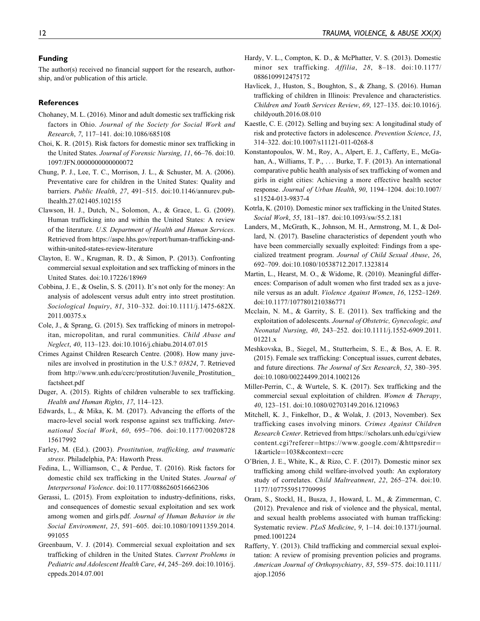#### Funding

The author(s) received no financial support for the research, authorship, and/or publication of this article.

#### References

- Chohaney, M. L. (2016). Minor and adult domestic sex trafficking risk factors in Ohio. Journal of the Society for Social Work and Research, 7, 117–141. doi:10.1086/685108
- Choi, K. R. (2015). Risk factors for domestic minor sex trafficking in the United States. Journal of Forensic Nursing, 11, 66–76. doi:10. 1097/JFN.0000000000000072
- Chung, P. J., Lee, T. C., Morrison, J. L., & Schuster, M. A. (2006). Preventative care for children in the United States: Quality and barriers. Public Health, 27, 491–515. doi:10.1146/annurev.publhealth.27.021405.102155
- Clawson, H. J., Dutch, N., Solomon, A., & Grace, L. G. (2009). Human trafficking into and within the United States: A review of the literature. U.S. Department of Health and Human Services. Retrieved from [https://aspe.hhs.gov/report/human-trafficking-and](https://aspe.hhs.gov/report/human-trafficking-and-within-united-states-review-literature)[within-united-states-review-literature](https://aspe.hhs.gov/report/human-trafficking-and-within-united-states-review-literature)
- Clayton, E. W., Krugman, R. D., & Simon, P. (2013). Confronting commercial sexual exploitation and sex trafficking of minors in the United States. doi:10.17226/18969
- Cobbina, J. E., & Oselin, S. S. (2011). It's not only for the money: An analysis of adolescent versus adult entry into street prostitution. Sociological Inquiry, 81, 310–332. doi:10.1111/j.1475-682X. 2011.00375.x
- Cole, J., & Sprang, G. (2015). Sex trafficking of minors in metropolitan, micropolitan, and rural communities. Child Abuse and Neglect, 40, 113–123. doi:10.1016/j.chiabu.2014.07.015
- Crimes Against Children Research Centre. (2008). How many juveniles are involved in prostitution in the U.S.? 03824, 7. Retrieved from [http://www.unh.edu/ccrc/prostitution/Juvenile\\_Prostitution\\_](http://www.unh.edu/ccrc/prostitution/Juvenile_Prostitution_factsheet.pdf) [factsheet.pdf](http://www.unh.edu/ccrc/prostitution/Juvenile_Prostitution_factsheet.pdf)
- Duger, A. (2015). Rights of children vulnerable to sex trafficking. Health and Human Rights, 17, 114–123.
- Edwards, L., & Mika, K. M. (2017). Advancing the efforts of the macro-level social work response against sex trafficking. International Social Work, 60, 695–706. doi:10.1177/00208728 15617992
- Farley, M. (Ed.). (2003). Prostitution, trafficking, and traumatic stress. Philadelphia, PA: Haworth Press.
- Fedina, L., Williamson, C., & Perdue, T. (2016). Risk factors for domestic child sex trafficking in the United States. Journal of Interpersonal Violence. doi:10.1177/0886260516662306
- Gerassi, L. (2015). From exploitation to industry-definitions, risks, and consequences of domestic sexual exploitation and sex work among women and girls.pdf. Journal of Human Behavior in the Social Environment, 25, 591–605. doi:10.1080/10911359.2014. 991055
- Greenbaum, V. J. (2014). Commercial sexual exploitation and sex trafficking of children in the United States. Current Problems in Pediatric and Adolescent Health Care, 44, 245–269. doi:10.1016/j. cppeds.2014.07.001
- Hardy, V. L., Compton, K. D., & McPhatter, V. S. (2013). Domestic minor sex trafficking. Affilia, 28, 8–18. doi:10.1177/ 0886109912475172
- Havlicek, J., Huston, S., Boughton, S., & Zhang, S. (2016). Human trafficking of children in Illinois: Prevalence and characteristics. Children and Youth Services Review, 69, 127–135. doi:10.1016/j. childyouth.2016.08.010
- Kaestle, C. E. (2012). Selling and buying sex: A longitudinal study of risk and protective factors in adolescence. Prevention Science, 13, 314–322. doi:10.1007/s11121-011-0268-8
- Konstantopoulos, W. M., Roy, A., Alpert, E. J., Cafferty, E., McGahan, A., Williams, T. P., ... Burke, T. F. (2013). An international comparative public health analysis of sex trafficking of women and girls in eight cities: Achieving a more effective health sector response. Journal of Urban Health, 90, 1194–1204. doi:10.1007/ s11524-013-9837-4
- Kotrla, K. (2010). Domestic minor sex trafficking in the United States. Social Work, 55, 181–187. doi:10.1093/sw/55.2.181
- Landers, M., McGrath, K., Johnson, M. H., Armstrong, M. I., & Dollard, N. (2017). Baseline characteristics of dependent youth who have been commercially sexually exploited: Findings from a specialized treatment program. Journal of Child Sexual Abuse, 26, 692–709. doi:10.1080/10538712.2017.1323814
- Martin, L., Hearst, M. O., & Widome, R. (2010). Meaningful differences: Comparison of adult women who first traded sex as a juvenile versus as an adult. Violence Against Women, 16, 1252–1269. doi:10.1177/1077801210386771
- Mcclain, N. M., & Garrity, S. E. (2011). Sex trafficking and the exploitation of adolescents. Journal of Obstetric, Gynecologic, and Neonatal Nursing, 40, 243–252. doi:10.1111/j.1552-6909.2011. 01221 x
- Meshkovska, B., Siegel, M., Stutterheim, S. E., & Bos, A. E. R. (2015). Female sex trafficking: Conceptual issues, current debates, and future directions. The Journal of Sex Research, 52, 380–395. doi:10.1080/00224499.2014.1002126
- Miller-Perrin, C., & Wurtele, S. K. (2017). Sex trafficking and the commercial sexual exploitation of children. Women & Therapy, 40, 123–151. doi:10.1080/02703149.2016.1210963
- Mitchell, K. J., Finkelhor, D., & Wolak, J. (2013, November). Sex trafficking cases involving minors. Crimes Against Children Research Center. Retrieved from [https://scholars.unh.edu/cgi/view](https://scholars.unh.edu/cgi/viewcontent.cgi?referer=https://www.google.com/&httpsredir=1&article=1038&context=ccrc) [content.cgi?referer](https://scholars.unh.edu/cgi/viewcontent.cgi?referer=https://www.google.com/&httpsredir=1&article=1038&context=ccrc)=[https://www.google.com/&httpsredir](https://scholars.unh.edu/cgi/viewcontent.cgi?referer=https://www.google.com/&httpsredir=1&article=1038&context=ccrc)= [1&article](https://scholars.unh.edu/cgi/viewcontent.cgi?referer=https://www.google.com/&httpsredir=1&article=1038&context=ccrc)=[1038&context](https://scholars.unh.edu/cgi/viewcontent.cgi?referer=https://www.google.com/&httpsredir=1&article=1038&context=ccrc)=[ccrc](https://scholars.unh.edu/cgi/viewcontent.cgi?referer=https://www.google.com/&httpsredir=1&article=1038&context=ccrc)
- O'Brien, J. E., White, K., & Rizo, C. F. (2017). Domestic minor sex trafficking among child welfare-involved youth: An exploratory study of correlates. Child Maltreatment, 22, 265–274. doi:10. 1177/1077559517709995
- Oram, S., Stockl, H., Busza, J., Howard, L. M., & Zimmerman, C. (2012). Prevalence and risk of violence and the physical, mental, and sexual health problems associated with human trafficking: Systematic review. PLoS Medicine, 9, 1–14. doi:10.1371/journal. pmed.1001224
- Rafferty, Y. (2013). Child trafficking and commercial sexual exploitation: A review of promising prevention policies and programs. American Journal of Orthopsychiatry, 83, 559–575. doi:10.1111/ ajop.12056